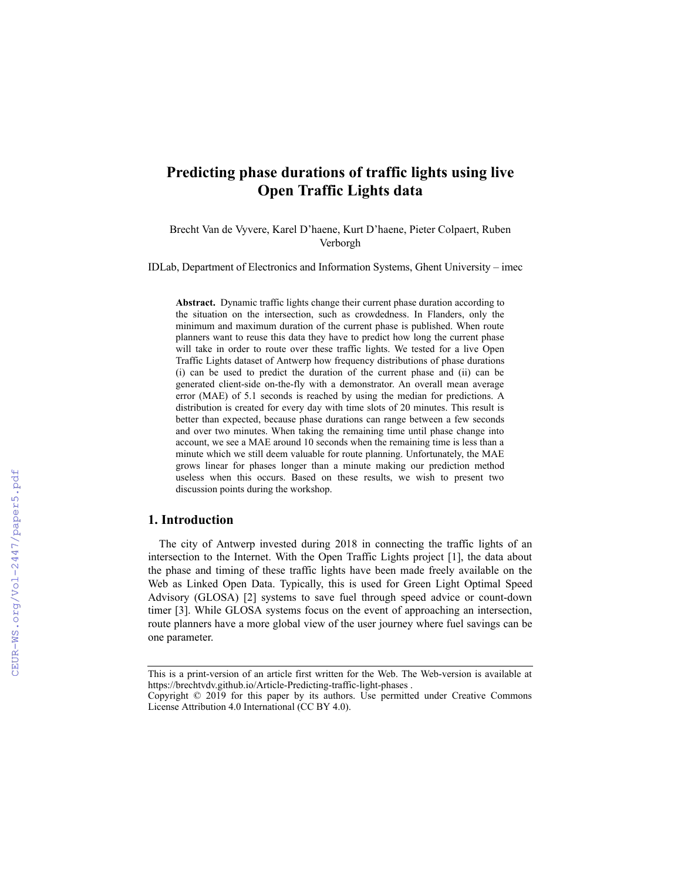# **Predicting phase durations of traffic lights using live Open Traffic Lights data**

Brecht Van de [Vyvere,](https://brechtvdv.github.io/) Karel [D'haene,](http://localhost:3000/) Kurt [D'haene](http://localhost:3000/), Pieter [Colpaert](https://pietercolpaert.be/), Ruben [Verborgh](https://ruben.verborgh.org/)

IDLab, Department of Electronics and Information Systems, Ghent University – imec

**Abstract.** Dynamic traffic lights change their current phase duration according to the situation on the intersection, such as crowdedness. In Flanders, only the minimum and maximum duration of the current phase is published. When route planners want to reuse this data they have to predict how long the current phase will take in order to route over these traffic lights. We tested for a live Open Traffic Lights dataset of Antwerp how frequency distributions of phase durations (i) can be used to predict the duration of the current phase and (ii) can be generated client-side on-the-fly with a demonstrator. An overall mean average error (MAE) of 5.1 seconds is reached by using the median for predictions. A distribution is created for every day with time slots of 20 minutes. This result is better than expected, because phase durations can range between a few seconds and over two minutes. When taking the remaining time until phase change into account, we see a MAE around 10 seconds when the remaining time is less than a minute which we still deem valuable for route planning. Unfortunately, the MAE grows linear for phases longer than a minute making our prediction method useless when this occurs. Based on these results, we wish to present two discussion points during the workshop.

# **1. Introduction**

The city of Antwerp invested during 2018 in connecting the traffic lights of an intersection to the Internet. With the Open Traffic Lights project [1], the data about the phase and timing of these traffic lights have been made freely available on the Web as Linked Open Data. Typically, this is used for Green Light Optimal Speed Advisory (GLOSA) [2] systems to save fuel through speed advice or count-down timer [3]. While GLOSA systems focus on the event of approaching an intersection, route planners have a more global view of the user journey where fuel savings can be one parameter.

This is a print-version of an article first written for the Web. The Web-version is available at https://brechtvdv.github.io/Article-Predicting-traffic-light-phases .

Copyright © 2019 for this paper by its authors. Use permitted under Creative Commons License Attribution 4.0 International (CC BY 4.0).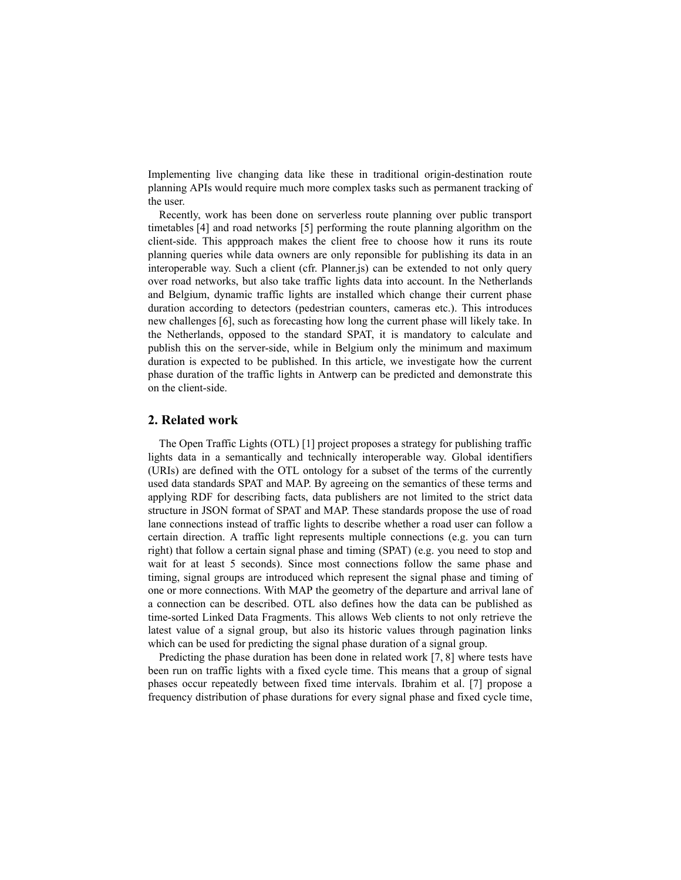Implementing live changing data like these in traditional origin-destination route planning APIs would require much more complex tasks such as permanent tracking of the user.

Recently, work has been done on serverless route planning over public transport timetables [4] and road [networks](http://pieter.pm/demo-paper-routable-tiles/) [5] [performing](https://pietercolpaert.be/papers/icwe2017-lc/paper.pdf) the route planning algorithm on the client-side. This appproach makes the client free to choose how it runs its route planning queries while data owners are only reponsible for publishing its data in an interoperable way. Such a client (cfr. [Planner.js\)](https://planner.js.org/) can be extended to not only query over road networks, but also take traffic lights data into account. In the Netherlands and Belgium, dynamic traffic lights are installed which change their current phase duration according to detectors (pedestrian counters, cameras etc.). This introduces new challenges [6], such as forecasting how long the current phase will likely take. In the Netherlands, opposed to the standard SPAT, it is [mandatory](https://smartmobilitycommunity.eu/sites/default/files/images/171116%20SPAT%20Profile%20v2.0%20%5BsubWG%20Dutch%20Profile%5D.docx) to calculate and publish this on the server-side, while in Belgium only the minimum and maximum duration is expected to be published. In this article, we investigate how the current phase duration of the traffic lights in Antwerp can be predicted and demonstrate this on the client-side.

## **2. Related work**

The Open [Traffic](https://opentrafficlights.org/) Lights (OTL) [1] project proposes a strategy for publishing traffic lights data in a semantically and technically interoperable way. Global identifiers (URIs) are defined with the OTL ontology for a subset of the terms of the currently used data standards SPAT and MAP. By agreeing on the semantics of these terms and applying RDF for describing facts, data publishers are not limited to the strict data structure in JSON format of SPAT and MAP. These standards propose the use of road lane connections instead of traffic lights to describe whether a road user can follow a certain direction. A traffic light represents multiple connections (e.g. you can turn right) that follow a certain [signal](https://w3id.org/opentrafficlights/thesauri/signalphase) phase and timing (SPAT) (e.g. you need to stop and wait for at least 5 seconds). Since most connections follow the same phase and timing, signal groups are introduced which represent the signal phase and timing of one or more connections. With MAP the geometry of the departure and arrival lane of a connection can be described. OTL also defines how the data can be published as time-sorted Linked Data [Fragments.](https://brechtvdv.github.io/Article-Open-Traffic-Lights/#specification) This allows Web clients to not only retrieve the latest value of a signal group, but also its historic values through pagination links which can be used for predicting the signal phase duration of a signal group.

Predicting the phase duration has been done in related work [7, 8] where tests have been run on traffic lights with a fixed cycle time. This means that a group of signal phases occur repeatedly between fixed time intervals. Ibrahim et al. [7] propose a frequency distribution of phase durations for every signal phase and fixed cycle time,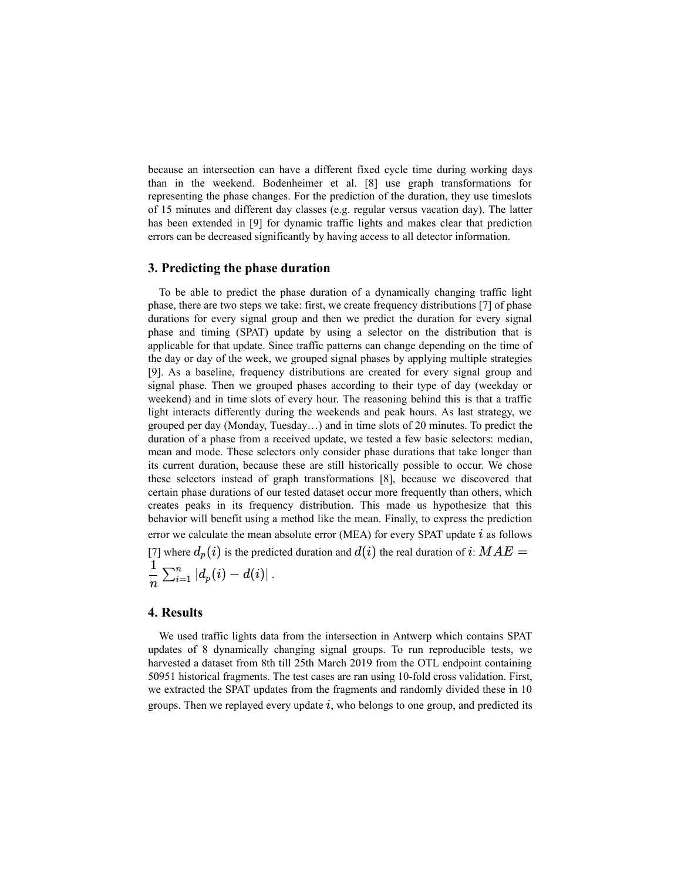because an intersection can have a different fixed cycle time during working days than in the weekend. Bodenheimer et al. [8] use graph transformations for representing the phase changes. For the prediction of the duration, they use timeslots of 15 minutes and different day classes (e.g. regular versus vacation day). The latter has been extended in [9] for dynamic traffic lights and makes clear that prediction errors can be decreased significantly by having access to all detector information.

# **3. Predicting the phase duration**

To be able to predict the phase duration of a dynamically changing traffic light phase, there are two steps we take: first, we create frequency distributions [7] of phase durations for every signal group and then we predict the duration for every signal phase and timing (SPAT) update by using a selector on the distribution that is applicable for that update. Since traffic patterns can change depending on the time of the day or day of the week, we grouped signal phases by applying multiple strategies [9]. As a baseline, frequency distributions are created for every signal group and signal phase. Then we grouped phases according to their type of day (weekday or weekend) and in time slots of every hour. The reasoning behind this is that a traffic light interacts differently during the weekends and peak hours. As last strategy, we grouped per day (Monday, Tuesday…) and in time slots of 20 minutes. To predict the duration of a phase from a received update, we tested a few basic selectors: median, mean and mode. These selectors only consider phase durations that take longer than its current duration, because these are still historically possible to occur. We chose these selectors instead of graph transformations [8], because we [discovered](https://kridhaen.github.io/OpenTrafficLightsDistributionsVisualizer/) that certain phase durations of our tested dataset occur more frequently than others, which creates peaks in its frequency distribution. This made us hypothesize that this behavior will benefit using a method like the mean. Finally, to express the prediction error we calculate the mean absolute error (MEA) for every SPAT update  $i$  as follows [7] where  $d_p(i)$  is the predicted duration and  $d(i)$  the real duration of  $i$ :  $MAE =$  $\left| d_p(i) - d(i) \right|$  .  $\frac{1}{n}\sum_{i=1}^n|d_p(i)-d(i)|$ 

#### <span id="page-2-0"></span>**4. Results**

We used traffic lights data from the intersection in Antwerp which contains SPAT updates of 8 [dynamically](http://docs.wegenenverkeer.be/Publicaties/Brochure%20Verkeerslichtengeregelde%20kruispunten.pdf) changing signal groups. To run reproducible tests, we harvested a [dataset](https://github.com/kridhaen/OpenTrafficLightsData) from 8th till 25th March 2019 from the OTL endpoint containing 50951 historical fragments. The test cases are ran using 10-fold cross validation. First, we extracted the SPAT updates from the fragments and randomly divided these in 10 groups. Then we replayed every update  $i$ , who belongs to one group, and predicted its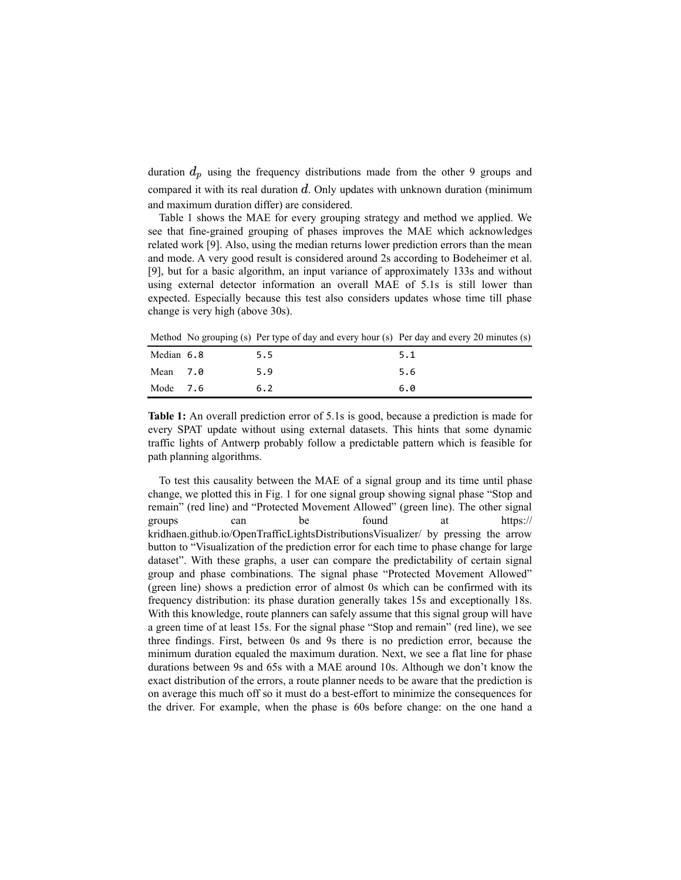duration  $d_p$  using the frequency distributions made from the other 9 groups and compared it with its real duration  $d$ . Only updates with unknown duration (minimum and maximum duration differ) are considered.

[Table](#page-3-0) 1 shows the MAE for every grouping strategy and method we applied. We see that fine-grained grouping of phases improves the MAE which acknowledges related work [9]. Also, using the median returns lower prediction errors than the mean and mode. A very good result is considered around 2s according to Bodeheimer et al. [9], but for a basic algorithm, an input variance of approximately 133s and without using external detector information an overall MAE of 5.1s is still lower than expected. Especially because this test also considers updates whose time till phase change is very high (above 30s).

<span id="page-3-0"></span>Method No grouping (s) Per type of day and every hour (s) Per day and every 20 minutes (s)

| Median 6.8 | 5.5 | 5.1 |
|------------|-----|-----|
| Mean 7.0   | 5.9 | 5.6 |
| Mode $7.6$ | 6.2 | 6.0 |

**Table 1:** An overall prediction error of 5.1s is good, because a prediction is made for every SPAT update without using external datasets. This hints that some dynamic traffic lights of Antwerp probably follow a predictable pattern which is feasible for path planning algorithms.

To test this causality between the MAE of a signal group and its time until phase change, we plotted this in [Fig.](#page-4-0) 1 for one [signal](https://opentrafficlights.org/id/signalgroup/K648/3) group showing signal phase "Stop and remain" (red line) and "Protected [Movement](https://w3id.org/opentrafficlights/thesauri/signalphase/3) Allowed" (green line). The other signal groups can be found at https:// [kridhaen.github.io/OpenTrafficLightsDistributionsVisualizer/](https://kridhaen.github.io/OpenTrafficLightsDistributionsVisualizer/) by pressing the arrow button to "Visualization of the prediction error for each time to phase change for large dataset". With these graphs, a user can compare the predictability of certain signal group and phase combinations. The signal phase "Protected Movement Allowed" (green line) shows a prediction error of almost 0s which can be confirmed with its frequency [distribution:](https://kridhaen.github.io/OpenTrafficLightsDistributionsVisualizer/) its phase duration generally takes 15s and exceptionally 18s. With this knowledge, route planners can safely assume that this signal group will have a green time of at least 15s. For the signal phase "Stop and remain" (red line), we see three findings. First, between 0s and 9s there is no prediction error, because the minimum duration equaled the maximum duration. Next, we see a flat line for phase durations between 9s and 65s with a MAE around 10s. Although we don't know the exact distribution of the errors, a route planner needs to be aware that the prediction is on average this much off so it must do a best-effort to minimize the consequences for the driver. For example, when the phase is 60s before change: on the one hand a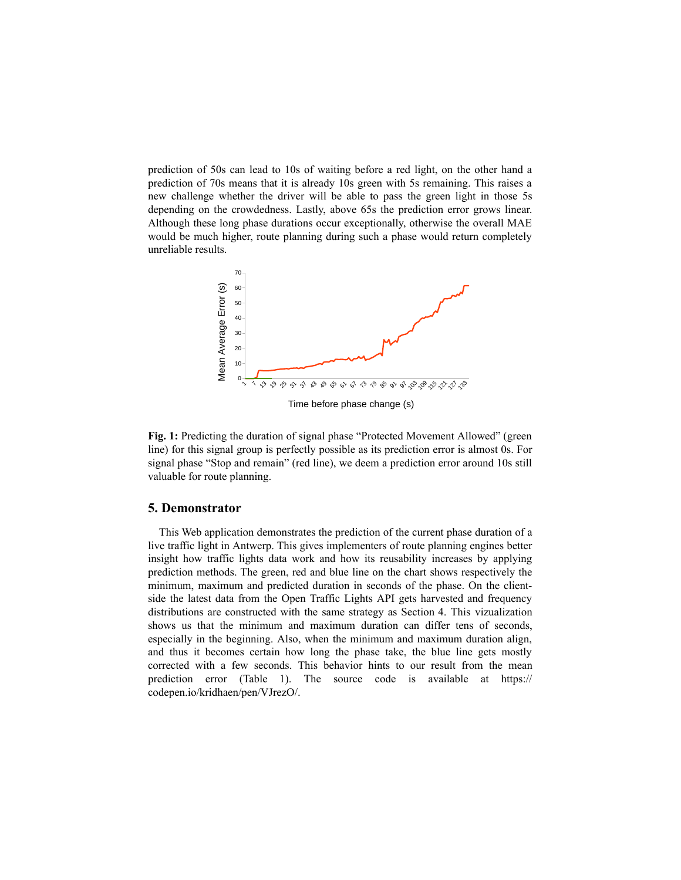prediction of 50s can lead to 10s of waiting before a red light, on the other hand a prediction of 70s means that it is already 10s green with 5s remaining. This raises a new challenge whether the driver will be able to pass the green light in those 5s depending on the crowdedness. Lastly, above 65s the prediction error grows linear. Although these long phase durations occur exceptionally, otherwise the overall MAE would be much higher, route planning during such a phase would return completely unreliable results.

<span id="page-4-0"></span>

Time before phase change (s)

**Fig. 1:** Predicting the duration of signal phase "Protected Movement Allowed" (green line) for this signal group is perfectly possible as its prediction error is almost 0s. For signal phase "Stop and remain" (red line), we deem a prediction error around 10s still valuable for route planning.

## **5. Demonstrator**

This Web [application](https://codepen.io/kridhaen/pen/VJrezO/) demonstrates the prediction of the current phase duration of a live traffic light in [Antwerp.](https://www.openstreetmap.org/#map=19/51.21205/4.39717) This gives implementers of route planning engines better insight how traffic lights data work and how its reusability increases by applying prediction methods. The green, red and blue line on the chart shows respectively the minimum, maximum and predicted duration in seconds of the phase. On the clientside the latest data from the Open Traffic Lights [API](https://lodi.ilabt.imec.be/observer/rawdata/latest) gets harvested and frequency distributions are constructed with the same strategy as [Section](#page-2-0) 4. This vizualization shows us that the minimum and maximum duration can differ tens of seconds, especially in the beginning. Also, when the minimum and maximum duration align, and thus it becomes certain how long the phase take, the blue line gets mostly corrected with a few seconds. This behavior hints to our result from the mean prediction error [\(Table](#page-3-0) 1). The source code is available at https:// [codepen.io/kridhaen/pen/VJrezO/.](https://codepen.io/kridhaen/pen/VJrezO/)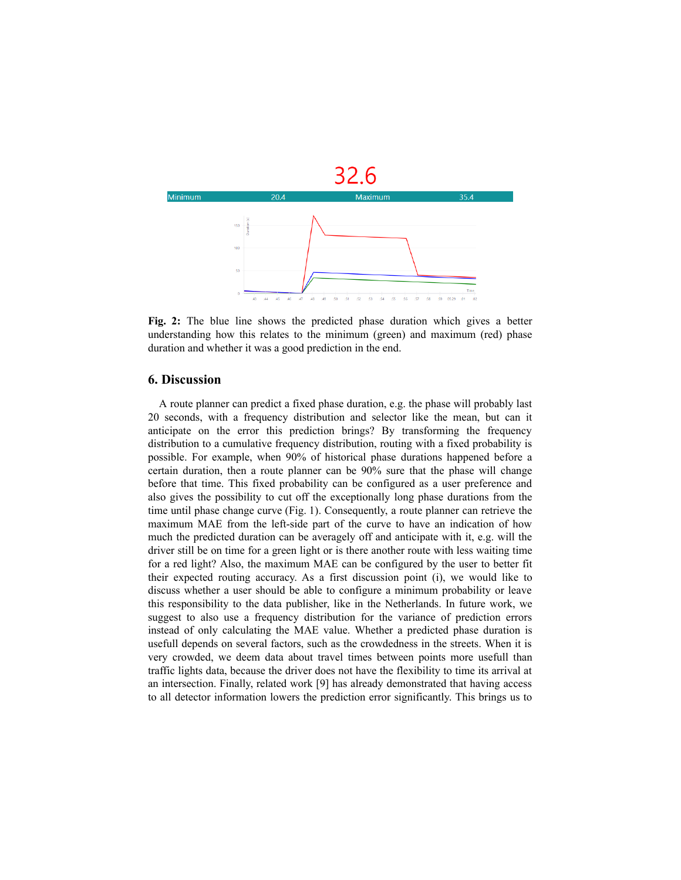

**Fig. 2:** The blue line shows the predicted phase duration which gives a better understanding how this relates to the minimum (green) and maximum (red) phase duration and whether it was a good prediction in the end.

#### **6. Discussion**

A route planner can predict a fixed phase duration, e.g. the phase will probably last 20 seconds, with a frequency distribution and selector like the mean, but can it anticipate on the error this prediction brings? By transforming the frequency distribution to a cumulative frequency distribution, routing with a fixed probability is possible. For example, when 90% of historical phase durations happened before a certain duration, then a route planner can be 90% sure that the phase will change before that time. This fixed probability can be configured as a user preference and also gives the possibility to cut off the exceptionally long phase durations from the time until phase change curve ([Fig.](#page-4-0) 1). Consequently, a route planner can retrieve the maximum MAE from the left-side part of the curve to have an indication of how much the predicted duration can be averagely off and anticipate with it, e.g. will the driver still be on time for a green light or is there another route with less waiting time for a red light? Also, the maximum MAE can be configured by the user to better fit their expected routing accuracy. As a first discussion point (i), we would like to discuss whether a user should be able to configure a minimum probability or leave this responsibility to the data publisher, like in the Netherlands. In future work, we suggest to also use a frequency distribution for the variance of prediction errors instead of only calculating the MAE value. Whether a predicted phase duration is usefull depends on several factors, such as the crowdedness in the streets. When it is very crowded, we deem data about travel times between points more usefull than traffic lights data, because the driver does not have the flexibility to time its arrival at an intersection. Finally, related work [9] has already demonstrated that having access to all detector information lowers the prediction error significantly. This brings us to